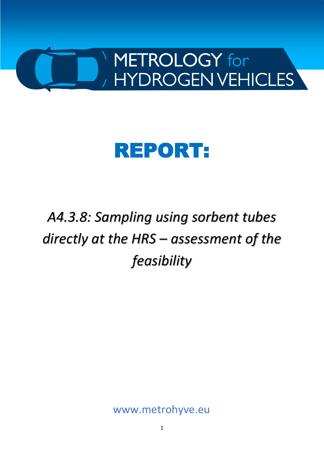

# REPORT:

*A4.3.8: Sampling using sorbent tubes directly at the HRS – assessment of the feasibility* 

www.metrohyve.eu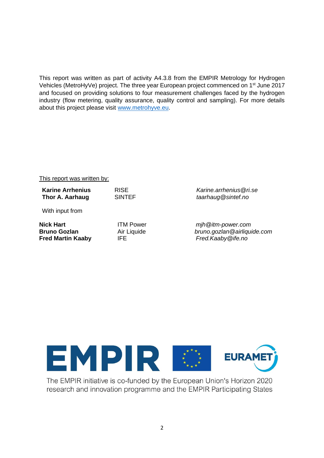This report was written as part of activity A4.3.8 from the EMPIR Metrology for Hydrogen Vehicles (MetroHyVe) project. The three year European project commenced on 1st June 2017 and focused on providing solutions to four measurement challenges faced by the hydrogen industry (flow metering, quality assurance, quality control and sampling). For more details about this project please visit [www.metrohyve.eu.](http://www.metrohyve.eu/)

#### This report was written by:

**Karine Arrhenius** RISE *Karine.arrhenius@ri.se* **Thor A. Aarhaug** SINTEF *taarhaug@sintef.no*

With input from

**Fred Martin Kaaby** IFE *[Fred.Kaaby@ife.no](mailto:Fred.Kaaby@ife.no)*

**Nick Hart** ITM Power *[mjh@itm-power.com](mailto:mjh@itm-power.com)* **Bruno Gozlan** Air Liquide *[bruno.gozlan@airliquide.com](mailto:bruno.gozlan@airliquide.com)*



The EMPIR initiative is co-funded by the European Union's Horizon 2020 research and innovation programme and the EMPIR Participating States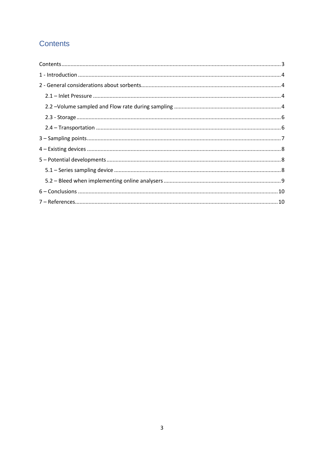## <span id="page-2-0"></span>Contents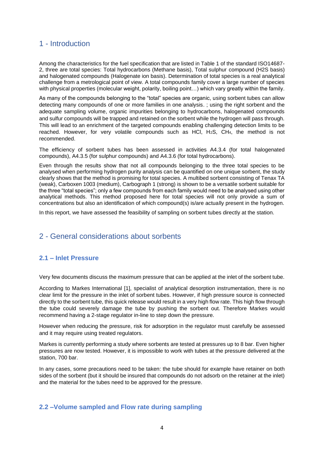## <span id="page-3-0"></span>1 - Introduction

Among the characteristics for the fuel specification that are listed in Table 1 of the standard ISO14687- 2, three are total species: Total hydrocarbons (Methane basis), Total sulphur compound (H2S basis) and halogenated compounds (Halogenate ion basis). Determination of total species is a real analytical challenge from a metrological point of view. A total compounds family cover a large number of species with physical properties (molecular weight, polarity, boiling point…) which vary greatly within the family.

As many of the compounds belonging to the "total" species are organic, using sorbent tubes can allow detecting many compounds of one or more families in one analysis. ; using the right sorbent and the adequate sampling volume, organic impurities belonging to hydrocarbons, halogenated compounds and sulfur compounds will be trapped and retained on the sorbent while the hydrogen will pass through. This will lead to an enrichment of the targeted compounds enabling challenging detection limits to be reached. However, for very volatile compounds such as HCl, H2S, CH4, the method is not recommended.

The efficiency of sorbent tubes has been assessed in activities A4.3.4 (for total halogenated compounds), A4.3.5 (for sulphur compounds) and A4.3.6 (for total hydrocarbons).

Even through the results show that not all compounds belonging to the three total species to be analysed when performing hydrogen purity analysis can be quantified on one unique sorbent, the study clearly shows that the method is promising for total species. A multibed sorbent consisting of Tenax TA (weak), Carboxen 1003 (medium), Carbograph 1 (strong) is shown to be a versatile sorbent suitable for the three "total species"; only a few compounds from each family would need to be analysed using other analytical methods. This method proposed here for total species will not only provide a sum of concentrations but also an identification of which compound(s) is/are actually present in the hydrogen.

In this report, we have assessed the feasibility of sampling on sorbent tubes directly at the station.

## <span id="page-3-1"></span>2 - General considerations about sorbents

#### <span id="page-3-2"></span>**2.1 – Inlet Pressure**

Very few documents discuss the maximum pressure that can be applied at the inlet of the sorbent tube.

According to Markes International [1], specialist of analytical desorption instrumentation, there is no clear limit for the pressure in the inlet of sorbent tubes. However, if high pressure source is connected directly to the sorbent tube, this quick release would result in a very high flow rate. This high flow through the tube could severely damage the tube by pushing the sorbent out. Therefore Markes would recommend having a 2-stage regulator in-line to step down the pressure.

However when reducing the pressure, risk for adsorption in the regulator must carefully be assessed and it may require using treated regulators.

Markes is currently performing a study where sorbents are tested at pressures up to 8 bar. Even higher pressures are now tested. However, it is impossible to work with tubes at the pressure delivered at the station, 700 bar.

In any cases, some precautions need to be taken: the tube should for example have retainer on both sides of the sorbent (but it should be insured that compounds do not adsorb on the retainer at the inlet) and the material for the tubes need to be approved for the pressure.

#### <span id="page-3-3"></span>**2.2 –Volume sampled and Flow rate during sampling**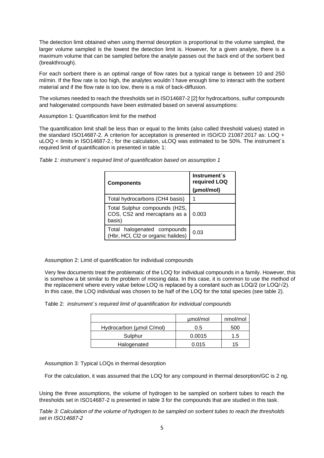The detection limit obtained when using thermal desorption is proportional to the volume sampled, the larger volume sampled is the lowest the detection limit is. However, for a given analyte, there is a maximum volume that can be sampled before the analyte passes out the back end of the sorbent bed (breakthrough).

For each sorbent there is an optimal range of flow rates but a typical range is between 10 and 250 ml/min. If the flow rate is too high, the analytes wouldn´t have enough time to interact with the sorbent material and if the flow rate is too low, there is a risk of back-diffusion.

The volumes needed to reach the thresholds set in ISO14687-2 [2] for hydrocarbons, sulfur compounds and halogenated compounds have been estimated based on several assumptions:

Assumption 1: Quantification limit for the method

The quantification limit shall be less than or equal to the limits (also called threshold values) stated in the standard ISO14687-2. A criterion for acceptation is presented in ISO/CD 21087:2017 as: LOQ + uLOQ < limits in ISO14687-2.; for the calculation, uLOQ was estimated to be 50%. The instrument´s required limit of quantification is presented in table 1:

| <b>Components</b>                                                       | Instrument's<br>required LOQ<br>(µmol/mol) |
|-------------------------------------------------------------------------|--------------------------------------------|
| Total hydrocarbons (CH4 basis)                                          |                                            |
| Total Sulphur compounds (H2S,<br>COS, CS2 and mercaptans as a<br>basis) | 0.003                                      |
| Total halogenated compounds<br>(Hbr, HCI, Cl2 or organic halides)       | 0.03                                       |

*Table 1: instrument´s required limit of quantification based on assumption 1*

Assumption 2: Limit of quantification for individual compounds

Very few documents treat the problematic of the LOQ for individual compounds in a family. However, this is somehow a bit similar to the problem of missing data. In this case, it is common to use the method of the replacement where every value below LOQ is replaced by a constant such as LOQ/2 (or LOQ/√2). In this case, the LOQ individual was chosen to be half of the LOQ for the total species (see table 2).

|                          | umol/mol | nmol/mol      |
|--------------------------|----------|---------------|
| Hydrocarbon (µmol C/mol) | 0.5      | 500           |
| Sulphur                  | 0.0015   | $1.5^{\circ}$ |
| Halogenated              | 0.015    | 15            |

Assumption 3: Typical LOQs in thermal desorption

For the calculation, it was assumed that the LOQ for any compound in thermal desorption/GC is 2 ng.

Using the three assumptions, the volume of hydrogen to be sampled on sorbent tubes to reach the thresholds set in ISO14687-2 is presented in table 3 for the compounds that are studied in this task.

*Table 3: Calculation of the volume of hydrogen to be sampled on sorbent tubes to reach the thresholds set in ISO14687-2*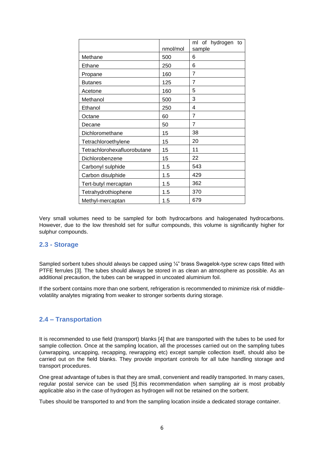|                             |          | of<br>hydrogen<br>ml<br>to |
|-----------------------------|----------|----------------------------|
|                             | nmol/mol | sample                     |
| Methane                     | 500      | 6                          |
| Ethane                      | 250      | 6                          |
| Propane                     | 160      | $\overline{7}$             |
| <b>Butanes</b>              | 125      | 7                          |
| Acetone                     | 160      | 5                          |
| Methanol                    | 500      | 3                          |
| Ethanol                     | 250      | 4                          |
| Octane                      | 60       | $\overline{7}$             |
| Decane                      | 50       | $\overline{7}$             |
| Dichloromethane             | 15       | 38                         |
| Tetrachloroethylene         | 15       | 20                         |
| Tetrachlorohexafluorobutane | 15       | 11                         |
| Dichlorobenzene             | 15       | 22                         |
| Carbonyl sulphide           | 1.5      | 543                        |
| Carbon disulphide           | 1.5      | 429                        |
| Tert-butyl mercaptan        | 1.5      | 362                        |
| Tetrahydrothiophene         | 1.5      | 370                        |
| Methyl-mercaptan            | 1.5      | 679                        |

Very small volumes need to be sampled for both hydrocarbons and halogenated hydrocarbons. However, due to the low threshold set for sulfur compounds, this volume is significantly higher for sulphur compounds.

#### <span id="page-5-0"></span>**2.3 - Storage**

Sampled sorbent tubes should always be capped using  $\frac{1}{4}$ " brass Swagelok-type screw caps fitted with PTFE ferrules [3]. The tubes should always be stored in as clean an atmosphere as possible. As an additional precaution, the tubes can be wrapped in uncoated aluminium foil.

If the sorbent contains more than one sorbent, refrigeration is recommended to minimize risk of middlevolatility analytes migrating from weaker to stronger sorbents during storage.

#### <span id="page-5-1"></span>**2.4 – Transportation**

It is recommended to use field (transport) blanks [4] that are transported with the tubes to be used for sample collection. Once at the sampling location, all the processes carried out on the sampling tubes (unwrapping, uncapping, recapping, rewrapping etc) except sample collection itself, should also be carried out on the field blanks. They provide important controls for all tube handling storage and transport procedures.

One great advantage of tubes is that they are small, convenient and readily transported. In many cases, regular postal service can be used [5].this recommendation when sampling air is most probably applicable also in the case of hydrogen as hydrogen will not be retained on the sorbent.

Tubes should be transported to and from the sampling location inside a dedicated storage container.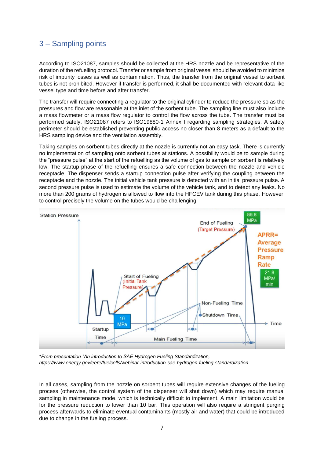## <span id="page-6-0"></span>3 – Sampling points

According to ISO21087, samples should be collected at the HRS nozzle and be representative of the duration of the refuelling protocol. Transfer or sample from original vessel should be avoided to minimize risk of impurity losses as well as contamination. Thus, the transfer from the original vessel to sorbent tubes is not prohibited. However if transfer is performed, it shall be documented with relevant data like vessel type and time before and after transfer.

The transfer will require connecting a regulator to the original cylinder to reduce the pressure so as the pressures and flow are reasonable at the inlet of the sorbent tube. The sampling line must also include a mass flowmeter or a mass flow regulator to control the flow across the tube. The transfer must be performed safely. ISO21087 refers to ISO19880-1 Annex I regarding sampling strategies. A safety perimeter should be established preventing public access no closer than 8 meters as a default to the HRS sampling device and the ventilation assembly.

Taking samples on sorbent tubes directly at the nozzle is currently not an easy task. There is currently no implementation of sampling onto sorbent tubes at stations. A possibility would be to sample during the "pressure pulse" at the start of the refuelling as the volume of gas to sample on sorbent is relatively low. The startup phase of the refuelling ensures a safe connection between the nozzle and vehicle receptacle. The dispenser sends a startup connection pulse after verifying the coupling between the receptacle and the nozzle. The initial vehicle tank pressure is detected with an initial pressure pulse. A second pressure pulse is used to estimate the volume of the vehicle tank, and to detect any leaks. No more than 200 grams of hydrogen is allowed to flow into the HFCEV tank during this phase. However, to control precisely the volume on the tubes would be challenging.



*\*From presentation "An introduction to SAE Hydrogen Fueling Standardization, https://www.energy.gov/eere/fuelcells/webinar-introduction-sae-hydrogen-fueling-standardization*

In all cases, sampling from the nozzle on sorbent tubes will require extensive changes of the fueling process (otherwise, the control system of the dispenser will shut down) which may require manual sampling in maintenance mode, which is technically difficult to implement. A main limitation would be for the pressure reduction to lower than 10 bar. This operation will also require a stringent purging process afterwards to eliminate eventual contaminants (mostly air and water) that could be introduced due to change in the fueling process.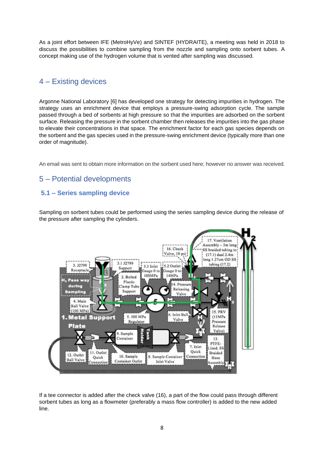As a joint effort between IFE (MetroHyVe) and SINTEF (HYDRAITE), a meeting was held in 2018 to discuss the possibilities to combine sampling from the nozzle and sampling onto sorbent tubes. A concept making use of the hydrogen volume that is vented after sampling was discussed.

## <span id="page-7-0"></span>4 – Existing devices

Argonne National Laboratory [6] has developed one strategy for detecting impurities in hydrogen. The strategy uses an enrichment device that employs a pressure-swing adsorption cycle. The sample passed through a bed of sorbents at high pressure so that the impurities are adsorbed on the sorbent surface. Releasing the pressure in the sorbent chamber then releases the impurities into the gas phase to elevate their concentrations in that space. The enrichment factor for each gas species depends on the sorbent and the gas species used in the pressure-swing enrichment device (typically more than one order of magnitude).

An email was sent to obtain more information on the sorbent used here; however no answer was received.

## <span id="page-7-1"></span>5 – Potential developments

#### <span id="page-7-2"></span>**5.1 – Series sampling device**

Sampling on sorbent tubes could be performed using the series sampling device during the release of the pressure after sampling the cylinders.



If a tee connector is added after the check valve (16), a part of the flow could pass through different sorbent tubes as long as a flowmeter (preferably a mass flow controller) is added to the new added line.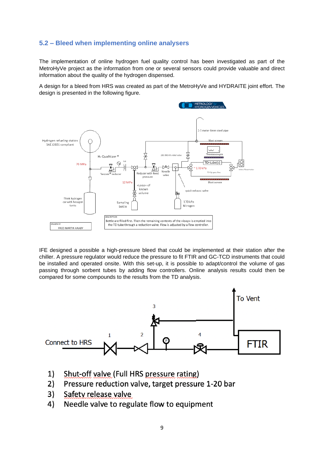#### <span id="page-8-0"></span>**5.2 – Bleed when implementing online analysers**

The implementation of online hydrogen fuel quality control has been investigated as part of the MetroHyVe project as the information from one or several sensors could provide valuable and direct information about the quality of the hydrogen dispensed.

A design for a bleed from HRS was created as part of the MetroHyVe and HYDRAITE joint effort. The design is presented in the following figure.



IFE designed a possible a high-pressure bleed that could be implemented at their station after the chiller. A pressure regulator would reduce the pressure to fit FTIR and GC-TCD instruments that could be installed and operated onsite. With this set-up, it is possible to adapt/control the volume of gas passing through sorbent tubes by adding flow controllers. Online analysis results could then be compared for some compounds to the results from the TD analysis.



- Shut-off valve (Full HRS pressure rating)  $1)$
- $2)$ Pressure reduction valve, target pressure 1-20 bar
- 3) Safety release valve
- Needle valve to regulate flow to equipment 4)